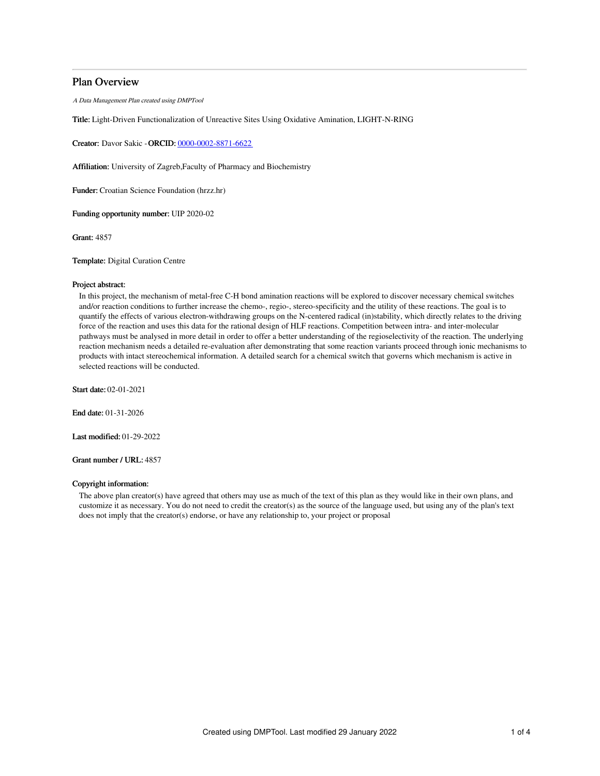# Plan Overview

A Data Management Plan created using DMPTool

Title: Light-Driven Functionalization of Unreactive Sites Using Oxidative Amination, LIGHT-N-RING

Creator: Davor Sakic -ORCID: [0000-0002-8871-6622](https://orcid.org/0000-0002-8871-6622)

Affiliation: University of Zagreb,Faculty of Pharmacy and Biochemistry

Funder: Croatian Science Foundation (hrzz.hr)

Funding opportunity number: UIP 2020-02

Grant: 4857

Template: Digital Curation Centre

## Project abstract:

In this project, the mechanism of metal-free C-H bond amination reactions will be explored to discover necessary chemical switches and/or reaction conditions to further increase the chemo-, regio-, stereo-specificity and the utility of these reactions. The goal is to quantify the effects of various electron-withdrawing groups on the N-centered radical (in)stability, which directly relates to the driving force of the reaction and uses this data for the rational design of HLF reactions. Competition between intra- and inter-molecular pathways must be analysed in more detail in order to offer a better understanding of the regioselectivity of the reaction. The underlying reaction mechanism needs a detailed re-evaluation after demonstrating that some reaction variants proceed through ionic mechanisms to products with intact stereochemical information. A detailed search for a chemical switch that governs which mechanism is active in selected reactions will be conducted.

Start date: 02-01-2021

End date: 01-31-2026

Last modified: 01-29-2022

Grant number / URL: 4857

## Copyright information:

The above plan creator(s) have agreed that others may use as much of the text of this plan as they would like in their own plans, and customize it as necessary. You do not need to credit the creator(s) as the source of the language used, but using any of the plan's text does not imply that the creator(s) endorse, or have any relationship to, your project or proposal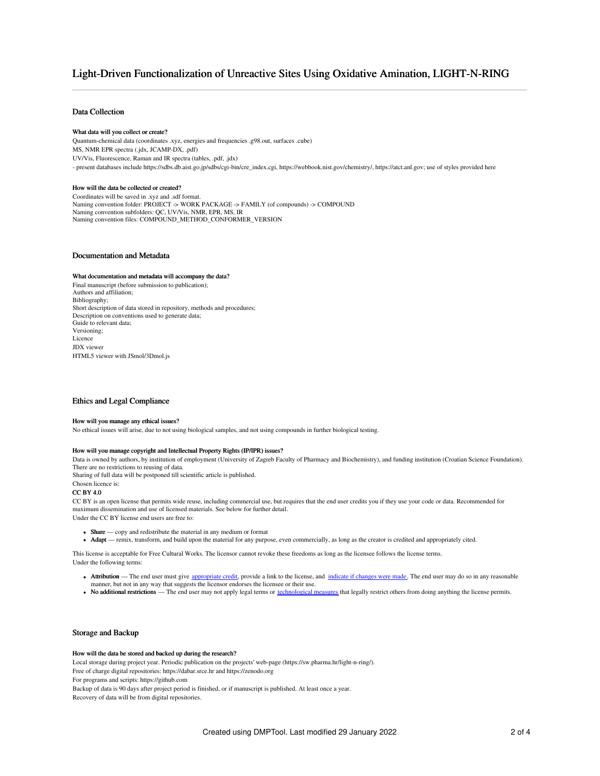# Light-Driven Functionalization of Unreactive Sites Using Oxidative Amination, LIGHT-N-RING

# Data Collection

#### What data will you collect or create?

Quantum-chemical data (coordinates .xyz, energies and frequencies .g98.out, surfaces .cube) MS, NMR EPR spectra (.jdx, JCAMP-DX, .pdf) UV/Vis, Fluorescence, Raman and IR spectra (tables, .pdf, .jdx) - present databases include https://sdbs.db.aist.go.jp/sdbs/cgi-bin/cre\_index.cgi, https://webbook.nist.gov/chemistry/, https://atct.anl.gov; use of styles provided here

#### How will the data be collected or created?

Coordinates will be saved in .xyz and .sdf format. Naming convention folder: PROJECT -> WORK PACKAGE -> FAMILY (of compounds) -> COMPOUND Naming convention subfolders: QC, UV/Vis, NMR, EPR, MS, IR Naming convention files: COMPOUND\_METHOD\_CONFORMER\_VERSION

## Documentation and Metadata

#### What documentation and metadata will accompany the data?

Final manuscript (before submission to publication); Authors and affiliation; Bibliography; Short description of data stored in repository, methods and procedures; Description on conventions used to generate data; Guide to relevant data; Versioning; Licence JDX viewer HTML5 viewer with JSmol/3Dmol.js

#### Ethics and Legal Compliance

#### How will you manage any ethical issues?

No ethical issues will arise, due to not using biological samples, and not using compounds in further biological testing.

#### How will you manage copyright and Intellectual Property Rights (IP/IPR) issues?

Data is owned by authors, by institution of employment (University of Zagreb Faculty of Pharmacy and Biochemistry), and funding institution (Croatian Science Foundation). There are no restrictions to reusing of data.

Sharing of full data will be postponed till scientific article is published.

# Chosen licence is:

# CC BY 4.0

CC BY is an open license that permits wide reuse, including commercial use, but requires that the end user credits you if they use your code or data. Recommended for maximum dissemination and use of licensed materials. See below for further detail.

Under the CC BY license end users are free to:

- Share copy and redistribute the material in any medium or format
- Adapt remix, transform, and build upon the material for any purpose, even commercially, as long as the creator is credited and appropriately cited.

This license is acceptable for Free Cultural Works. The licensor cannot revoke these freedoms as long as the licensee follows the license terms. Under the following terms:

- Attribution The end user must give *[appropriate](https://creativecommons.org/licenses/by/4.0/) credit*, provide a link to the license, and *indicate if [changes](https://creativecommons.org/licenses/by/4.0/) were made*. The end user may do so in any reasonable manner, but not in any way that suggests the licensor endorses the licensee or their use.
- No additional restrictions The end user may not apply legal terms or [technological](https://creativecommons.org/licenses/by/4.0/) measures that legally restrict others from doing anything the license permits.

#### Storage and Backup

#### How will the data be stored and backed up during the research?

Local storage during project year. Periodic publication on the projects' web-page (https://sw.pharma.hr/light-n-ring/).

Free of charge digital repositories: https://dabar.srce.hr and https://zenodo.org

For programs and scripts: https://github.com

Backup of data is 90 days after project period is finished, or if manuscript is published. At least once a year.

Recovery of data will be from digital repositories.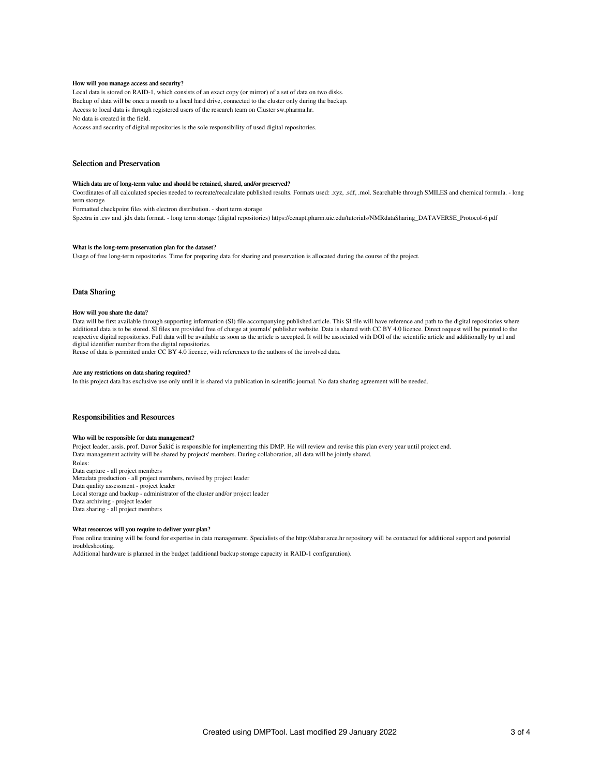#### How will you manage access and security?

Local data is stored on RAID-1, which consists of an exact copy (or mirror) of a set of data on two disks. Backup of data will be once a month to a local hard drive, connected to the cluster only during the backup. Access to local data is through registered users of the research team on Cluster sw.pharma.hr. No data is created in the field. Access and security of digital repositories is the sole responsibility of used digital repositories.

## Selection and Preservation

#### Which data are of long-term value and should be retained, shared, and/or preserved?

Coordinates of all calculated species needed to recreate/recalculate published results. Formats used: .xyz, .sdf, .mol. Searchable through SMILES and chemical formula. - long term storage

Formatted checkpoint files with electron distribution. - short term storage

Spectra in .csv and .jdx data format. - long term storage (digital repositories) https://cenapt.pharm.uic.edu/tutorials/NMRdataSharing\_DATAVERSE\_Protocol-6.pdf

#### What is the long-term preservation plan for the dataset?

Usage of free long-term repositories. Time for preparing data for sharing and preservation is allocated during the course of the project.

## Data Sharing

#### How will you share the data?

Data will be first available through supporting information (SI) file accompanying published article. This SI file will have reference and path to the digital repositories where additional data is to be stored. SI files are provided free of charge at journals' publisher website. Data is shared with CC BY 4.0 licence. Direct request will be pointed to the respective digital repositories. Full data will be available as soon as the article is accepted. It will be associated with DOI of the scientific article and additionally by url and digital identifier number from the digital repositories.

Reuse of data is permitted under CC BY 4.0 licence, with references to the authors of the involved data.

#### Are any restrictions on data sharing required?

In this project data has exclusive use only until it is shared via publication in scientific journal. No data sharing agreement will be needed.

## Responsibilities and Resources

#### Who will be responsible for data management?

Project leader, assis. prof. Davor Šakić is responsible for implementing this DMP. He will review and revise this plan every year until project end. Data management activity will be shared by projects' members. During collaboration, all data will be jointly shared. Roles: Data capture - all project members Metadata production - all project members, revised by project leader Data quality assessment - project leader

Local storage and backup - administrator of the cluster and/or project leader

Data archiving - project leader Data sharing - all project members

#### What resources will you require to deliver your plan?

Free online training will be found for expertise in data management. Specialists of the http://dabar.srce.hr repository will be contacted for additional support and potential troubleshooting.

Additional hardware is planned in the budget (additional backup storage capacity in RAID-1 configuration).